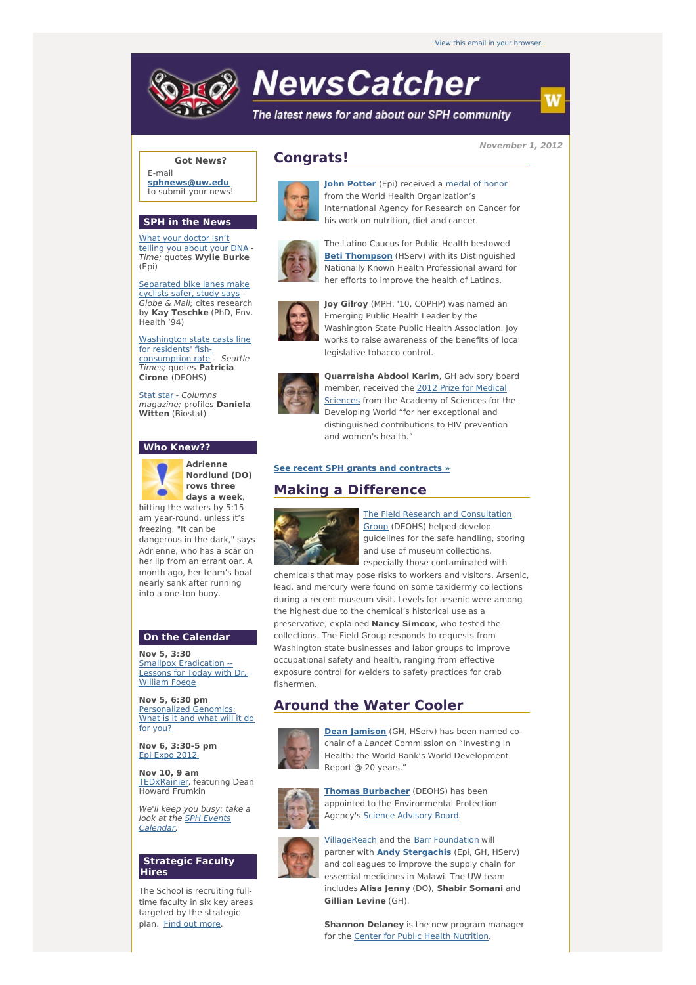

# **NewsCatcher**

The latest news for and about our SPH community

**November 1, 2012**

# **Got News?**

E-mail **[sphnews@uw.edu](mailto:sphnews@uw.edu)** to submit your news!

# **SPH in the News**

What your [doctor](http://engage.washington.edu/site/R?i=8ZnvY-IMkf1FndXL7ditlA) isn't telling you about your DNA - Time; quotes **Wylie Burke** (Epi)

[Separated](http://engage.washington.edu/site/R?i=EsiIiZ_5UNfpfZW3aIkmtA) bike lanes make cyclists safer, study says - Globe & Mail; cites research by **Kay Teschke** (PhD, Env. Health '94)

Washington state casts line for residents' fish[consumption](http://engage.washington.edu/site/R?i=xJy-CXIqOB111s2pjy5cDw) rate - Seattle Times; quotes **Patricia Cirone** (DEOHS)

[Stat](http://engage.washington.edu/site/R?i=x3qdcveTldVi-R9ZDIUyFg) star - Columns magazine; profiles **Daniela Witten** (Biostat)

# **Who Knew??**



**Adrienne Nordlund (DO) rows three days a week**,

hitting the waters by 5:15 am year-round, unless it's freezing. "It can be dangerous in the dark," says Adrienne, who has a scar on her lip from an errant oar. A month ago, her team's boat nearly sank after running into a one-ton buoy.

#### **On the Calendar**

**Nov 5, 3:30** Smallpox [Eradication](http://engage.washington.edu/site/R?i=Q0i3NS5zbVnM80A17ygJ7w) -Lessons for Today with Dr. William Foege

**Nov 5, 6:30 pm** [Personalized](http://engage.washington.edu/site/R?i=PJwOzR6G36CzE8eFx4BaJg) Genomics: What is it and what will it do for you?

**Nov 6, 3:30-5 pm** Epi Expo [2012](http://engage.washington.edu/site/R?i=lolBLuQEwZLOMbs-rW7_Sw)

**Nov 10, 9 am** [TEDxRainier](http://engage.washington.edu/site/R?i=AWTK90fTVGbrxAFvdIXpvA), featuring Dean Howard Frumkin

We'll keep you busy: take a look at the SPH Events [Calendar.](http://engage.washington.edu/site/R?i=m95lrqWfFOwdOHIwu4iEXw)

## **Strategic Faculty Hires**

The School is recruiting fulltime faculty in six key areas targeted by the strategic plan. Find out [more](http://engage.washington.edu/site/R?i=bIvi57sP9EXl4z0AJIosZQ).



**Congrats!**

**John [Potter](http://engage.washington.edu/site/R?i=YH9DEggq9wcaYp54uc-FEw)** (Epi) received a [medal](http://engage.washington.edu/site/R?i=JZEjQmp6c8yfR9iDcwGuYg) of honor from the World Health Organization's International Agency for Research on Cancer for his work on nutrition, diet and cancer.



The Latino Caucus for Public Health bestowed **Beti [Thompson](http://engage.washington.edu/site/R?i=IrfjBNxhGAgnEKdebz3OUQ)** (HServ) with its Distinguished Nationally Known Health Professional award for her efforts to improve the health of Latinos.



**Joy Gilroy** (MPH, '10, COPHP) was named an Emerging Public Health Leader by the Washington State Public Health Association. Joy works to raise awareness of the benefits of local legislative tobacco control.



**Quarraisha Abdool Karim**, GH advisory board [member,](http://engage.washington.edu/site/R?i=L5GUbUijGLBfa16m2pkngw) received the 2012 Prize for Medical Sciences from the Academy of Sciences for the Developing World "for her exceptional and distinguished contributions to HIV prevention and women's health."

#### **See recent SPH grants and [contracts](http://engage.washington.edu/site/R?i=nQdpRB7QKu3p7VHnGlkVyA) »**

# **Making a Difference**



**The Field Research and [Consultation](http://engage.washington.edu/site/R?i=le86ATCye-MLWK-aZl1mgw)** Group (DEOHS) helped develop guidelines for the safe handling, storing and use of museum collections, especially those contaminated with

chemicals that may pose risks to workers and visitors. Arsenic, lead, and mercury were found on some taxidermy collections during a recent museum visit. Levels for arsenic were among the highest due to the chemical's historical use as a preservative, explained **Nancy Simcox**, who tested the collections. The Field Group responds to requests from Washington state businesses and labor groups to improve occupational safety and health, ranging from effective exposure control for welders to safety practices for crab fishermen.

# **Around the Water Cooler**



**Dean [Jamison](http://engage.washington.edu/site/R?i=r_efFk1Ot7FtMYRhxM8tag)** (GH, HServ) has been named cochair of a Lancet Commission on "Investing in Health: the World Bank's World Development Report @ 20 years."



**Thomas [Burbacher](http://engage.washington.edu/site/R?i=QPxF6XdUCSNXS5AqedY7Mg)** (DEOHS) has been appointed to the Environmental Protection Agency's Science [Advisory](http://engage.washington.edu/site/R?i=buBtOK5URgIDh0Rd5T731Q) Board.



[VillageReach](http://engage.washington.edu/site/R?i=hwXs0jdoxfw_2bhRTDzJ_A) and the Barr [Foundation](http://engage.washington.edu/site/R?i=11HdSglgi6xbF5wJgAzWxQ) will partner with **Andy [Stergachis](http://engage.washington.edu/site/R?i=i_mo80J7d9daPlZas3eL_Q)** (Epi, GH, HServ) and colleagues to improve the supply chain for essential medicines in Malawi. The UW team includes **Alisa Jenny** (DO), **Shabir Somani** and **Gillian Levine** (GH).

**Shannon Delaney** is the new program manager for the Center for Public Health [Nutrition](http://engage.washington.edu/site/R?i=rPe1xIKCfTokSXNbRoax7w).